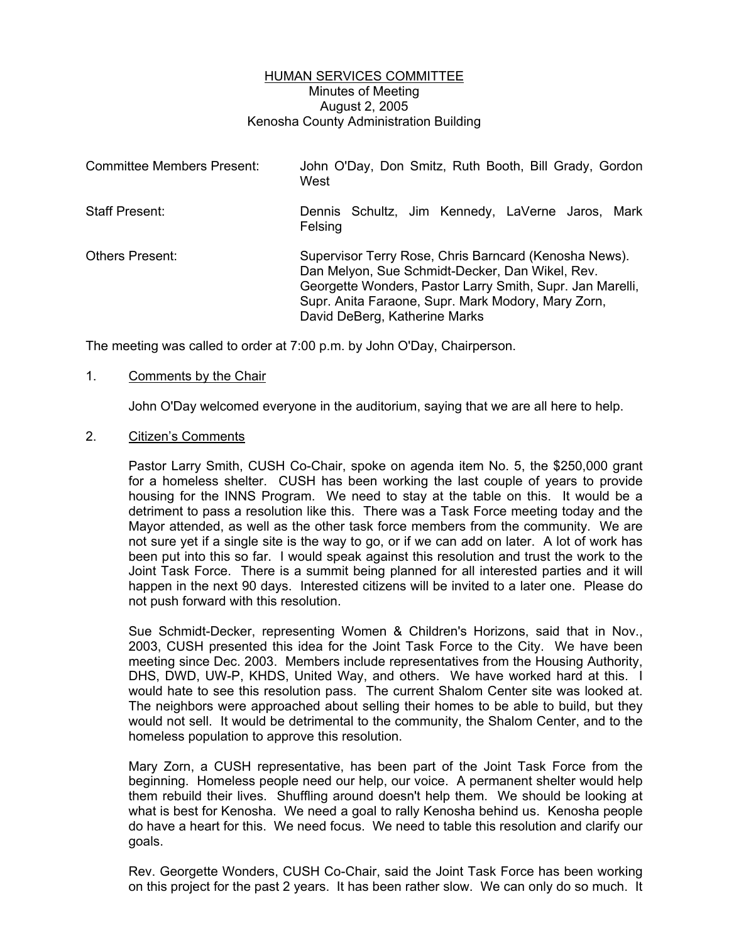## HUMAN SERVICES COMMITTEE Minutes of Meeting August 2, 2005 Kenosha County Administration Building

| Committee Members Present: | John O'Day, Don Smitz, Ruth Booth, Bill Grady, Gordon<br>West                                                                                                                                                                                                |
|----------------------------|--------------------------------------------------------------------------------------------------------------------------------------------------------------------------------------------------------------------------------------------------------------|
| Staff Present:             | Dennis Schultz, Jim Kennedy, LaVerne Jaros, Mark<br>Felsing                                                                                                                                                                                                  |
| <b>Others Present:</b>     | Supervisor Terry Rose, Chris Barncard (Kenosha News).<br>Dan Melyon, Sue Schmidt-Decker, Dan Wikel, Rev.<br>Georgette Wonders, Pastor Larry Smith, Supr. Jan Marelli,<br>Supr. Anita Faraone, Supr. Mark Modory, Mary Zorn,<br>David DeBerg, Katherine Marks |

The meeting was called to order at 7:00 p.m. by John O'Day, Chairperson.

### 1. Comments by the Chair

John O'Day welcomed everyone in the auditorium, saying that we are all here to help.

### 2. Citizen's Comments

Pastor Larry Smith, CUSH Co-Chair, spoke on agenda item No. 5, the \$250,000 grant for a homeless shelter. CUSH has been working the last couple of years to provide housing for the INNS Program. We need to stay at the table on this. It would be a detriment to pass a resolution like this. There was a Task Force meeting today and the Mayor attended, as well as the other task force members from the community. We are not sure yet if a single site is the way to go, or if we can add on later. A lot of work has been put into this so far. I would speak against this resolution and trust the work to the Joint Task Force. There is a summit being planned for all interested parties and it will happen in the next 90 days. Interested citizens will be invited to a later one. Please do not push forward with this resolution.

Sue Schmidt-Decker, representing Women & Children's Horizons, said that in Nov., 2003, CUSH presented this idea for the Joint Task Force to the City. We have been meeting since Dec. 2003. Members include representatives from the Housing Authority, DHS, DWD, UW-P, KHDS, United Way, and others. We have worked hard at this. I would hate to see this resolution pass. The current Shalom Center site was looked at. The neighbors were approached about selling their homes to be able to build, but they would not sell. It would be detrimental to the community, the Shalom Center, and to the homeless population to approve this resolution.

Mary Zorn, a CUSH representative, has been part of the Joint Task Force from the beginning. Homeless people need our help, our voice. A permanent shelter would help them rebuild their lives. Shuffling around doesn't help them. We should be looking at what is best for Kenosha. We need a goal to rally Kenosha behind us. Kenosha people do have a heart for this. We need focus. We need to table this resolution and clarify our goals.

Rev. Georgette Wonders, CUSH Co-Chair, said the Joint Task Force has been working on this project for the past 2 years. It has been rather slow. We can only do so much. It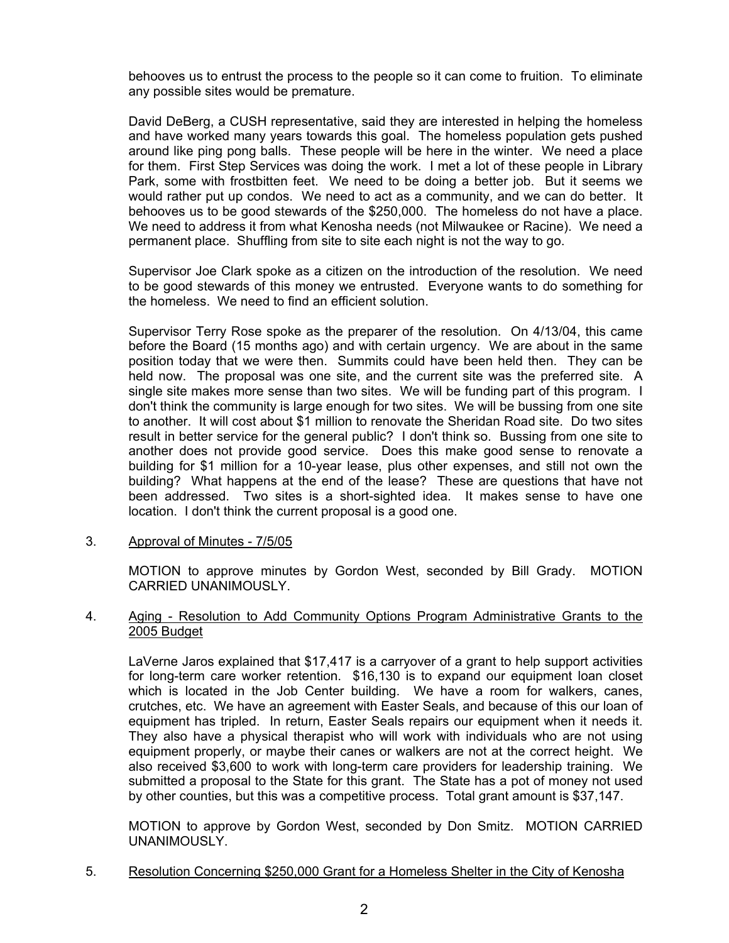behooves us to entrust the process to the people so it can come to fruition. To eliminate any possible sites would be premature.

David DeBerg, a CUSH representative, said they are interested in helping the homeless and have worked many years towards this goal. The homeless population gets pushed around like ping pong balls. These people will be here in the winter. We need a place for them. First Step Services was doing the work. I met a lot of these people in Library Park, some with frostbitten feet. We need to be doing a better job. But it seems we would rather put up condos. We need to act as a community, and we can do better. It behooves us to be good stewards of the \$250,000. The homeless do not have a place. We need to address it from what Kenosha needs (not Milwaukee or Racine). We need a permanent place. Shuffling from site to site each night is not the way to go.

Supervisor Joe Clark spoke as a citizen on the introduction of the resolution. We need to be good stewards of this money we entrusted. Everyone wants to do something for the homeless. We need to find an efficient solution.

Supervisor Terry Rose spoke as the preparer of the resolution. On 4/13/04, this came before the Board (15 months ago) and with certain urgency. We are about in the same position today that we were then. Summits could have been held then. They can be held now. The proposal was one site, and the current site was the preferred site. A single site makes more sense than two sites. We will be funding part of this program. I don't think the community is large enough for two sites. We will be bussing from one site to another. It will cost about \$1 million to renovate the Sheridan Road site. Do two sites result in better service for the general public? I don't think so. Bussing from one site to another does not provide good service. Does this make good sense to renovate a building for \$1 million for a 10-year lease, plus other expenses, and still not own the building? What happens at the end of the lease? These are questions that have not been addressed. Two sites is a short-sighted idea. It makes sense to have one location. I don't think the current proposal is a good one.

3. Approval of Minutes - 7/5/05

MOTION to approve minutes by Gordon West, seconded by Bill Grady. MOTION CARRIED UNANIMOUSLY.

### 4. Aging - Resolution to Add Community Options Program Administrative Grants to the 2005 Budget

LaVerne Jaros explained that \$17,417 is a carryover of a grant to help support activities for long-term care worker retention. \$16,130 is to expand our equipment loan closet which is located in the Job Center building. We have a room for walkers, canes, crutches, etc. We have an agreement with Easter Seals, and because of this our loan of equipment has tripled. In return, Easter Seals repairs our equipment when it needs it. They also have a physical therapist who will work with individuals who are not using equipment properly, or maybe their canes or walkers are not at the correct height. We also received \$3,600 to work with long-term care providers for leadership training. We submitted a proposal to the State for this grant. The State has a pot of money not used by other counties, but this was a competitive process. Total grant amount is \$37,147.

MOTION to approve by Gordon West, seconded by Don Smitz. MOTION CARRIED UNANIMOUSLY.

5. Resolution Concerning \$250,000 Grant for a Homeless Shelter in the City of Kenosha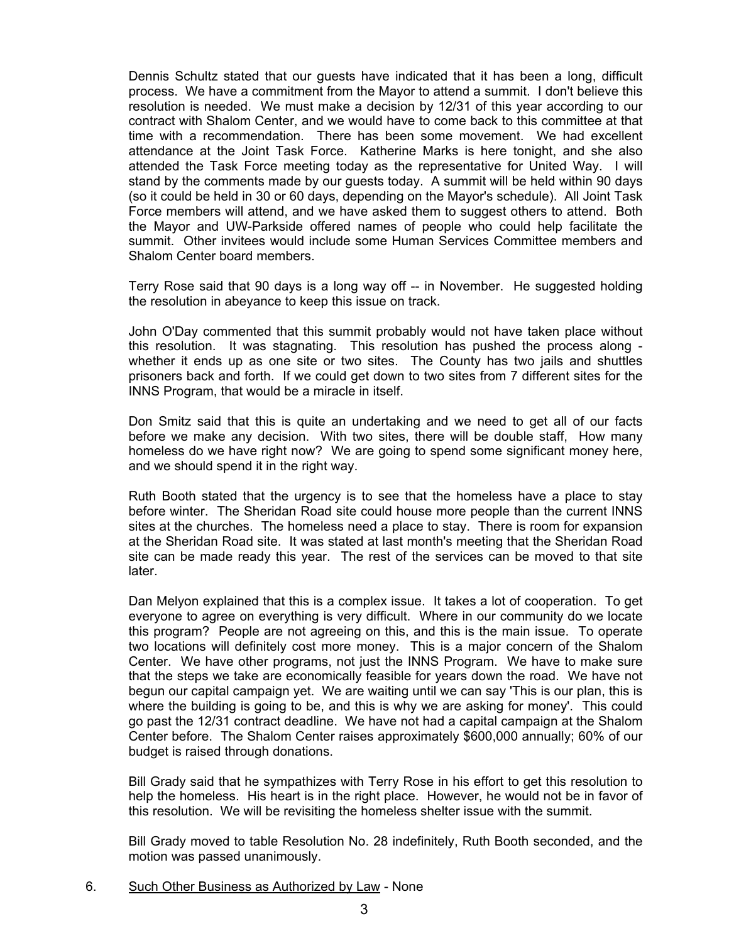Dennis Schultz stated that our guests have indicated that it has been a long, difficult process. We have a commitment from the Mayor to attend a summit. I don't believe this resolution is needed. We must make a decision by 12/31 of this year according to our contract with Shalom Center, and we would have to come back to this committee at that time with a recommendation. There has been some movement. We had excellent attendance at the Joint Task Force. Katherine Marks is here tonight, and she also attended the Task Force meeting today as the representative for United Way. I will stand by the comments made by our guests today. A summit will be held within 90 days (so it could be held in 30 or 60 days, depending on the Mayor's schedule). All Joint Task Force members will attend, and we have asked them to suggest others to attend. Both the Mayor and UW-Parkside offered names of people who could help facilitate the summit. Other invitees would include some Human Services Committee members and Shalom Center board members.

Terry Rose said that 90 days is a long way off -- in November. He suggested holding the resolution in abeyance to keep this issue on track.

John O'Day commented that this summit probably would not have taken place without this resolution. It was stagnating. This resolution has pushed the process along whether it ends up as one site or two sites. The County has two jails and shuttles prisoners back and forth. If we could get down to two sites from 7 different sites for the INNS Program, that would be a miracle in itself.

Don Smitz said that this is quite an undertaking and we need to get all of our facts before we make any decision. With two sites, there will be double staff, How many homeless do we have right now? We are going to spend some significant money here, and we should spend it in the right way.

Ruth Booth stated that the urgency is to see that the homeless have a place to stay before winter. The Sheridan Road site could house more people than the current INNS sites at the churches. The homeless need a place to stay. There is room for expansion at the Sheridan Road site. It was stated at last month's meeting that the Sheridan Road site can be made ready this year. The rest of the services can be moved to that site later.

Dan Melyon explained that this is a complex issue. It takes a lot of cooperation. To get everyone to agree on everything is very difficult. Where in our community do we locate this program? People are not agreeing on this, and this is the main issue. To operate two locations will definitely cost more money. This is a major concern of the Shalom Center. We have other programs, not just the INNS Program. We have to make sure that the steps we take are economically feasible for years down the road. We have not begun our capital campaign yet. We are waiting until we can say 'This is our plan, this is where the building is going to be, and this is why we are asking for money'. This could go past the 12/31 contract deadline. We have not had a capital campaign at the Shalom Center before. The Shalom Center raises approximately \$600,000 annually; 60% of our budget is raised through donations.

Bill Grady said that he sympathizes with Terry Rose in his effort to get this resolution to help the homeless. His heart is in the right place. However, he would not be in favor of this resolution. We will be revisiting the homeless shelter issue with the summit.

Bill Grady moved to table Resolution No. 28 indefinitely, Ruth Booth seconded, and the motion was passed unanimously.

6. Such Other Business as Authorized by Law - None